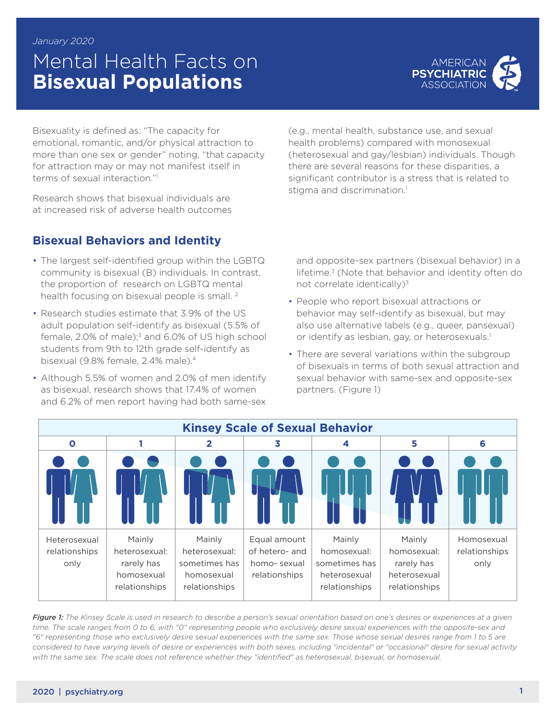# Mental Health Facts on **Bisexual Populations**



Bisexuality is defined as: "The capacity for emotional, romantic, and/or physical attraction to more than one sex or gender" noting, "that capacity for attraction may or may not manifest itself in terms of sexual interaction."

Research shows that bisexual individuals are at increased risk of adverse health outcomes

## **Bisexual Behaviors and Identity**

- The largest self-identified group within the LGBTQ community is bisexual (B) individuals. In contrast, the proportion of research on LGBTQ mental health focusing on bisexual people is small.<sup>2</sup>
- Research studies estimate that 3.9% of the US adult population self-identify as bisexual (5.5% of female,  $2.0\%$  of male); $3$  and  $6.0\%$  of US high school students from 9th to 12th grade self-identify as bisexual (9.8% female, 2.4% male).<sup>4</sup>
- Although 5.5% of women and 2.0% of men identify as bisexual, research shows that 17.4% of women and 6.2% of men report having had both same-sex

(e.g., mental health, substance use, and sexual health problems) compared with monosexual (heterosexual and gay/lesbian) individuals. Though there are several reasons for these disparities, a significant contributor is a stress that is related to stigma and discrimination.<sup>1</sup>

and opposite-sex partners (bisexual behavior) in a lifetime.<sup>3</sup> (Note that behavior and identity often do not correlate identically)<sup>3</sup>

- People who report bisexual attractions or behavior may self-identify as bisexual, but may also use alternative labels (e.g., queer, pansexual) or identify as lesbian, gay, or heterosexuals.<sup>1</sup>
- There are several variations within the subgroup of bisexuals in terms of both sexual attraction and sexual behavior with same-sex and opposite-sex partners. (Figure 1)



*Figure 1: The Kinsey Scale is used in research to describe a person's sexual orientation based on one's desires or experiences at a given time. The scale ranges from 0 to 6, with "0" representing people who exclusively desire sexual experiences with the opposite-sex and "6" representing those who exclusively desire sexual experiences with the same sex. Those whose sexual desires range from 1 to 5 are considered to have varying levels of desire or experiences with both sexes, including "incidental" or "occasional" desire for sexual activity with the same sex. The scale does not reference whether they "identified" as heterosexual, bisexual, or homosexual.*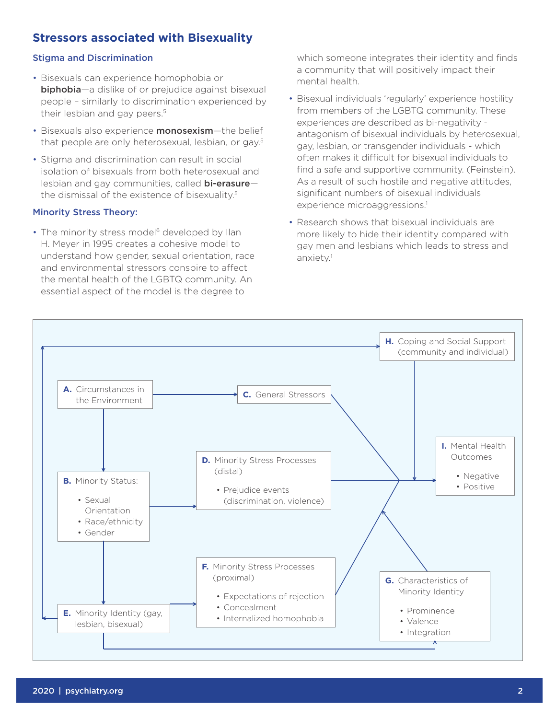## **Stressors associated with Bisexuality**

### Stigma and Discrimination

- Bisexuals can experience homophobia or **biphobia**—a dislike of or prejudice against bisexual people – similarly to discrimination experienced by their lesbian and gay peers.<sup>5</sup>
- Bisexuals also experience **monosexism**—the belief that people are only heterosexual, lesbian, or gay.5
- Stigma and discrimination can result in social isolation of bisexuals from both heterosexual and lesbian and gay communities, called **bi-erasure**the dismissal of the existence of bisexuality.5

#### Minority Stress Theory:

• The minority stress model<sup>6</sup> developed by Ilan H. Meyer in 1995 creates a cohesive model to understand how gender, sexual orientation, race and environmental stressors conspire to affect the mental health of the LGBTQ community. An essential aspect of the model is the degree to

which someone integrates their identity and finds a community that will positively impact their mental health.

- Bisexual individuals 'regularly' experience hostility from members of the LGBTQ community. These experiences are described as bi-negativity antagonism of bisexual individuals by heterosexual, gay, lesbian, or transgender individuals - which often makes it difficult for bisexual individuals to find a safe and supportive community. (Feinstein). As a result of such hostile and negative attitudes, significant numbers of bisexual individuals experience microaggressions.<sup>1</sup>
- Research shows that bisexual individuals are more likely to hide their identity compared with gay men and lesbians which leads to stress and anxiety.1

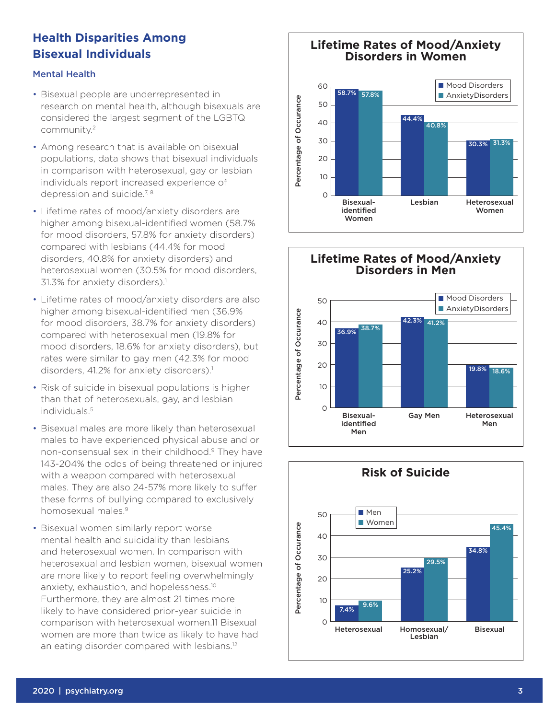# **Health Disparities Among Bisexual Individuals**

## Mental Health

- Bisexual people are underrepresented in research on mental health, although bisexuals are considered the largest segment of the LGBTQ community.2
- Among research that is available on bisexual populations, data shows that bisexual individuals in comparison with heterosexual, gay or lesbian individuals report increased experience of depression and suicide.<sup>7, 8</sup>
- Lifetime rates of mood/anxiety disorders are higher among bisexual-identified women (58.7% for mood disorders, 57.8% for anxiety disorders) compared with lesbians (44.4% for mood disorders, 40.8% for anxiety disorders) and heterosexual women (30.5% for mood disorders, 31.3% for anxiety disorders).<sup>1</sup>
- Lifetime rates of mood/anxiety disorders are also higher among bisexual-identified men (36.9% for mood disorders, 38.7% for anxiety disorders) compared with heterosexual men (19.8% for mood disorders, 18.6% for anxiety disorders), but rates were similar to gay men (42.3% for mood disorders, 41.2% for anxiety disorders).<sup>1</sup>
- Risk of suicide in bisexual populations is higher than that of heterosexuals, gay, and lesbian individuals.5
- Bisexual males are more likely than heterosexual males to have experienced physical abuse and or non-consensual sex in their childhood.9 They have 143-204% the odds of being threatened or injured with a weapon compared with heterosexual males. They are also 24-57% more likely to suffer these forms of bullying compared to exclusively homosexual males.9
- Bisexual women similarly report worse mental health and suicidality than lesbians and heterosexual women. In comparison with heterosexual and lesbian women, bisexual women are more likely to report feeling overwhelmingly anxiety, exhaustion, and hopelessness.10 Furthermore, they are almost 21 times more likely to have considered prior-year suicide in comparison with heterosexual women.11 Bisexual women are more than twice as likely to have had an eating disorder compared with lesbians.<sup>12</sup>

#### **Lifetime Rates of Mood/Anxiety**  50 **Disorders in Women**  $58.7$ AnxietyDisorders

**Disorders in Women**

58.7% 57.8%







Heterosexual Homosexual/

10

Bisexual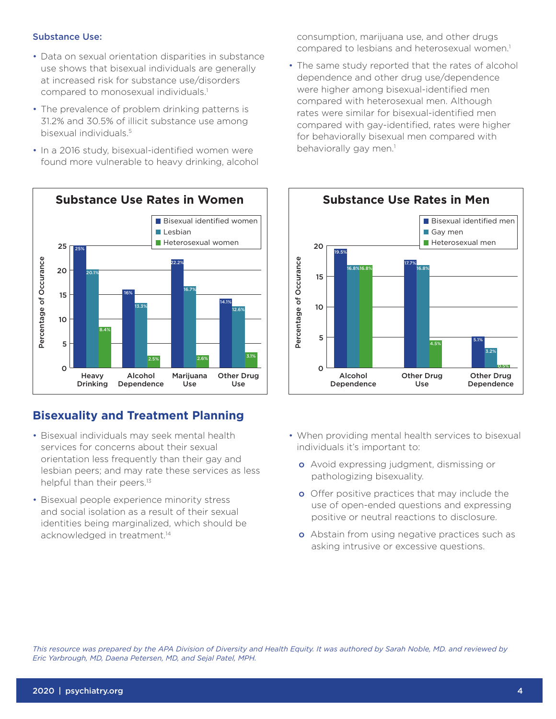#### Substance Use:

- Data on sexual orientation disparities in substance use shows that bisexual individuals are generally at increased risk for substance use/disorders compared to monosexual individuals.<sup>1</sup>
- The prevalence of problem drinking patterns is 31.2% and 30.5% of illicit substance use among bisexual individuals.5
- In a 2016 study, bisexual-identified women were found more vulnerable to heavy drinking, alcohol



## **Bisexuality and Treatment Planning**

- Bisexual individuals may seek mental health services for concerns about their sexual orientation less frequently than their gay and lesbian peers; and may rate these services as less helpful than their peers.<sup>13</sup>
- Bisexual people experience minority stress and social isolation as a result of their sexual identities being marginalized, which should be acknowledged in treatment.<sup>14</sup>

consumption, marijuana use, and other drugs compared to lesbians and heterosexual women.<sup>1</sup>

• The same study reported that the rates of alcohol dependence and other drug use/dependence were higher among bisexual-identified men compared with heterosexual men. Although rates were similar for bisexual-identified men compared with gay-identified, rates were higher for behaviorally bisexual men compared with behaviorally gay men.<sup>1</sup>



- When providing mental health services to bisexual individuals it's important to:
	- o Avoid expressing judgment, dismissing or pathologizing bisexuality.
	- **o** Offer positive practices that may include the use of open-ended questions and expressing positive or neutral reactions to disclosure.
	- **o** Abstain from using negative practices such as asking intrusive or excessive questions.

*This resource was prepared by the APA Division of Diversity and Health Equity. It was authored by Sarah Noble, MD. and reviewed by Eric Yarbrough, MD, Daena Petersen, MD, and Sejal Patel, MPH.*